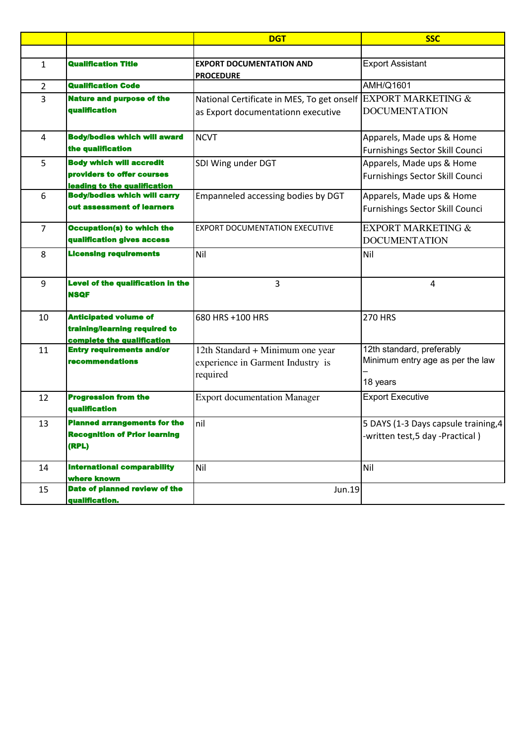|                |                                                                   | <b>DGT</b>                                                    | <b>SSC</b>                           |
|----------------|-------------------------------------------------------------------|---------------------------------------------------------------|--------------------------------------|
|                |                                                                   |                                                               |                                      |
| 1              | <b>Qualification Title</b>                                        | <b>EXPORT DOCUMENTATION AND</b><br><b>PROCEDURE</b>           | <b>Export Assistant</b>              |
| $\overline{2}$ | <b>Qualification Code</b>                                         |                                                               | AMH/Q1601                            |
| 3              | <b>Nature and purpose of the</b><br>qualification                 | National Certificate in MES, To get onself EXPORT MARKETING & | <b>DOCUMENTATION</b>                 |
|                |                                                                   | as Export documentationn executive                            |                                      |
| $\overline{4}$ | <b>Body/bodies which will award</b>                               | <b>NCVT</b>                                                   | Apparels, Made ups & Home            |
|                | the qualification                                                 |                                                               | Furnishings Sector Skill Counci      |
| 5              | <b>Body which will accredit</b>                                   | SDI Wing under DGT                                            | Apparels, Made ups & Home            |
|                | providers to offer courses<br><u>leading to the qualification</u> |                                                               | Furnishings Sector Skill Counci      |
| 6              | <b>Body/bodies which will carry</b>                               | Empanneled accessing bodies by DGT                            | Apparels, Made ups & Home            |
|                | out assessment of learners                                        |                                                               | Furnishings Sector Skill Counci      |
| $\overline{7}$ | <b>Occupation(s) to which the</b>                                 | <b>EXPORT DOCUMENTATION EXECUTIVE</b>                         | <b>EXPORT MARKETING &amp;</b>        |
|                | qualification gives access                                        |                                                               | <b>DOCUMENTATION</b>                 |
| 8              | <b>Licensing requirements</b>                                     | Nil                                                           | Nil                                  |
| 9              | <b>Level of the qualification in the</b><br><b>NSQF</b>           | $\overline{3}$                                                | 4                                    |
| 10             | <b>Anticipated volume of</b>                                      | 680 HRS +100 HRS                                              | <b>270 HRS</b>                       |
|                | training/learning required to                                     |                                                               |                                      |
| 11             | complete the qualification<br><b>Entry requirements and/or</b>    | 12th Standard + Minimum one year                              | 12th standard, preferably            |
|                | recommendations                                                   | experience in Garment Industry is                             | Minimum entry age as per the law     |
|                |                                                                   | required                                                      |                                      |
|                |                                                                   |                                                               | 18 years                             |
| 12             | <b>Progression from the</b><br>qualification                      | <b>Export documentation Manager</b>                           | <b>Export Executive</b>              |
| 13             | <b>Planned arrangements for the</b>                               | nil                                                           | 5 DAYS (1-3 Days capsule training, 4 |
|                | <b>Recognition of Prior learning</b><br>(RPL)                     |                                                               | -written test,5 day -Practical)      |
| 14             | <b>International comparability</b><br>where known                 | Nil                                                           | Nil                                  |
| 15             | Date of planned review of the<br>qualification.                   | Jun.19                                                        |                                      |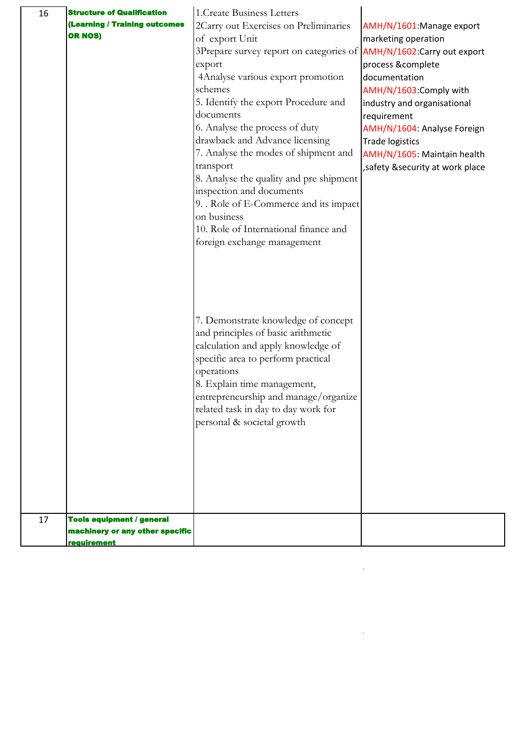| 16 | <b>Structure of Qualification</b> | 1. Create Business Letters                                                 |                                                       |
|----|-----------------------------------|----------------------------------------------------------------------------|-------------------------------------------------------|
|    | (Learning / Training outcomes     | 2Carry out Exercises on Preliminaries                                      | AMH/N/1601: Manage export                             |
|    | <b>OR NOS)</b>                    | of export Unit                                                             | marketing operation                                   |
|    |                                   | 3Prepare survey report on categories of <b>AMH/N/1602:Carry out export</b> |                                                       |
|    |                                   | export                                                                     | process &complete                                     |
|    |                                   | 4Analyse various export promotion                                          | documentation                                         |
|    |                                   | schemes                                                                    | AMH/N/1603:Comply with                                |
|    |                                   | 5. Identify the export Procedure and                                       | industry and organisational                           |
|    |                                   | documents                                                                  | requirement                                           |
|    |                                   | 6. Analyse the process of duty<br>drawback and Advance licensing           | AMH/N/1604: Analyse Foreign                           |
|    |                                   | 7. Analyse the modes of shipment and                                       | <b>Trade logistics</b><br>AMH/N/1605: Maintain health |
|    |                                   | transport                                                                  | , safety & security at work place                     |
|    |                                   | 8. Analyse the quality and pre shipment                                    |                                                       |
|    |                                   | inspection and documents                                                   |                                                       |
|    |                                   | 9. . Role of E-Commerce and its impact                                     |                                                       |
|    |                                   | on business                                                                |                                                       |
|    |                                   | 10. Role of International finance and                                      |                                                       |
|    |                                   | foreign exchange management                                                |                                                       |
|    |                                   |                                                                            |                                                       |
|    |                                   |                                                                            |                                                       |
|    |                                   |                                                                            |                                                       |
|    |                                   |                                                                            |                                                       |
|    |                                   |                                                                            |                                                       |
|    |                                   | 7. Demonstrate knowledge of concept<br>and principles of basic arithmetic  |                                                       |
|    |                                   | calculation and apply knowledge of                                         |                                                       |
|    |                                   | specific area to perform practical                                         |                                                       |
|    |                                   | operations                                                                 |                                                       |
|    |                                   | 8. Explain time management,                                                |                                                       |
|    |                                   | entrepreneurship and manage/organize                                       |                                                       |
|    |                                   | related task in day to day work for                                        |                                                       |
|    |                                   | personal & societal growth                                                 |                                                       |
|    |                                   |                                                                            |                                                       |
|    |                                   |                                                                            |                                                       |
|    |                                   |                                                                            |                                                       |
|    |                                   |                                                                            |                                                       |
|    |                                   |                                                                            |                                                       |
|    |                                   |                                                                            |                                                       |
| 17 | <b>Tools equipment / general</b>  |                                                                            |                                                       |
|    | machinery or any other specific   |                                                                            |                                                       |
|    | <b>requirement</b>                |                                                                            |                                                       |

.

.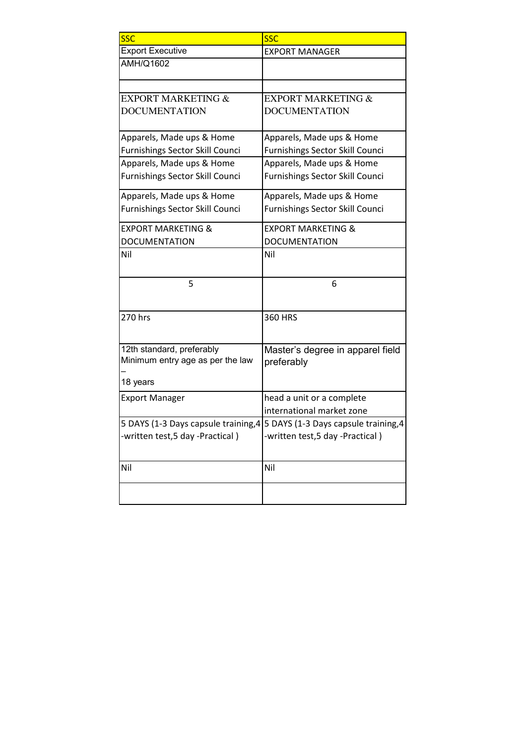| <b>SSC</b>                                                    | <b>SSC</b>                                                                |
|---------------------------------------------------------------|---------------------------------------------------------------------------|
| <b>Export Executive</b>                                       | <b>EXPORT MANAGER</b>                                                     |
| <b>AMH/Q1602</b>                                              |                                                                           |
|                                                               |                                                                           |
| <b>EXPORT MARKETING &amp;</b>                                 | <b>EXPORT MARKETING &amp;</b>                                             |
| <b>DOCUMENTATION</b>                                          | <b>DOCUMENTATION</b>                                                      |
| Apparels, Made ups & Home                                     | Apparels, Made ups & Home                                                 |
| Furnishings Sector Skill Counci                               | Furnishings Sector Skill Counci                                           |
| Apparels, Made ups & Home                                     | Apparels, Made ups & Home                                                 |
| Furnishings Sector Skill Counci                               | Furnishings Sector Skill Counci                                           |
| Apparels, Made ups & Home                                     | Apparels, Made ups & Home                                                 |
| Furnishings Sector Skill Counci                               | Furnishings Sector Skill Counci                                           |
| <b>EXPORT MARKETING &amp;</b>                                 | <b>EXPORT MARKETING &amp;</b>                                             |
| <b>DOCUMENTATION</b>                                          | <b>DOCUMENTATION</b>                                                      |
| Nil                                                           | Nil                                                                       |
| 5                                                             | 6                                                                         |
| 270 hrs                                                       | <b>360 HRS</b>                                                            |
| 12th standard, preferably<br>Minimum entry age as per the law | Master's degree in apparel field<br>preferably                            |
| 18 years                                                      |                                                                           |
| <b>Export Manager</b>                                         | head a unit or a complete                                                 |
|                                                               | international market zone                                                 |
|                                                               | 5 DAYS (1-3 Days capsule training, 4 5 DAYS (1-3 Days capsule training, 4 |
| -written test,5 day -Practical)                               | -written test,5 day -Practical)                                           |
| Nil                                                           | Nil                                                                       |
|                                                               |                                                                           |